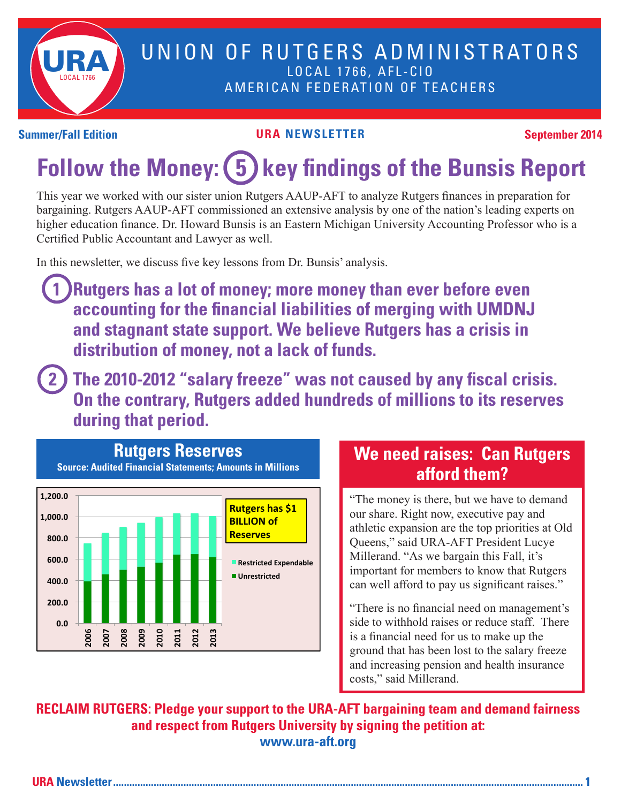

### UNION OF RUTGERS ADMINISTRATORS LOCAL 1766, AFL-CIO AMERICAN FEDERATION OF TEACHERS

#### **Summer/Fall Edition URA NEWSLETTER September 2014**

# Follow the Money: (5) key findings of the Bunsis Report

This year we worked with our sister union Rutgers AAUP-AFT to analyze Rutgers finances in preparation for bargaining. Rutgers AAUP-AFT commissioned an extensive analysis by one of the nation's leading experts on higher education finance. Dr. Howard Bunsis is an Eastern Michigan University Accounting Professor who is a Certified Public Accountant and Lawyer as well.

In this newsletter, we discuss five key lessons from Dr. Bunsis' analysis.

- **1 Rutgers has a lot of money; more money than ever before even accounting for the financial liabilities of merging with UMDNJ and stagnant state support. We believe Rutgers has a crisis in distribution of money, not a lack of funds.**
- **2 The 2010-2012 "salary freeze" was not caused by any fiscal crisis. On the contrary, Rutgers added hundreds of millions to its reserves during that period.**



### **We need raises: Can Rutgers afford them?**

"The money is there, but we have to demand our share. Right now, executive pay and athletic expansion are the top priorities at Old Queens," said URA-AFT President Lucye Millerand. "As we bargain this Fall, it's important for members to know that Rutgers can well afford to pay us significant raises."

"There is no financial need on management's side to withhold raises or reduce staff. There is a financial need for us to make up the ground that has been lost to the salary freeze and increasing pension and health insurance costs," said Millerand.

**RECLAIM RUTGERS: Pledge your support to the URA-AFT bargaining team and demand fairness and respect from Rutgers University by signing the petition at: www.ura-aft.org**

**URA Newsletter.............................................................................................................................................................................. 1**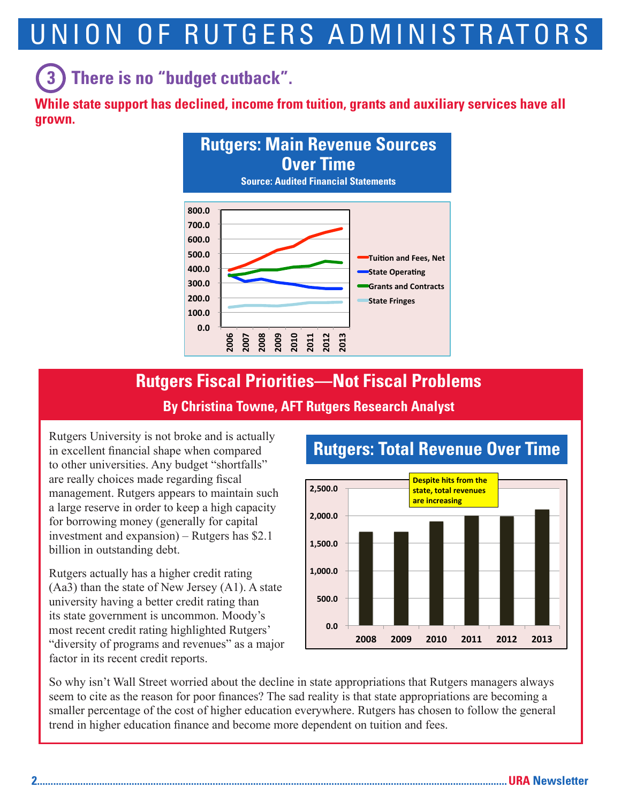# UNION OF RUTGERS ADMINISTRATORS

# **(3)** There is no "budget cutback".  $\blacksquare$

**While state support has declined, income from tuition, grants and auxiliary services have all grown.** 



# **Rutgers Fiscal Priorities—Not Fiscal Problems**

#### **By Christina Towne, AFT Rutgers Research Analyst**

Rutgers University is not broke and is actually in excellent financial shape when compared to other universities. Any budget "shortfalls" are really choices made regarding fiscal management. Rutgers appears to maintain such a large reserve in order to keep a high capacity for borrowing money (generally for capital investment and expansion) – Rutgers has \$2.1 billion in outstanding debt.

Rutgers actually has a higher credit rating (Aa3) than the state of New Jersey (A1). A state university having a better credit rating than its state government is uncommon. Moody's most recent credit rating highlighted Rutgers' "diversity of programs and revenues" as a major factor in its recent credit reports.



### **Rutgers: Total Revenue Over Time**

So why isn't Wall Street worried about the decline in state appropriations that Rutgers managers always seem to cite as the reason for poor finances? The sad reality is that state appropriations are becoming a smaller percentage of the cost of higher education everywhere. Rutgers has chosen to follow the general trend in higher education finance and become more dependent on tuition and fees.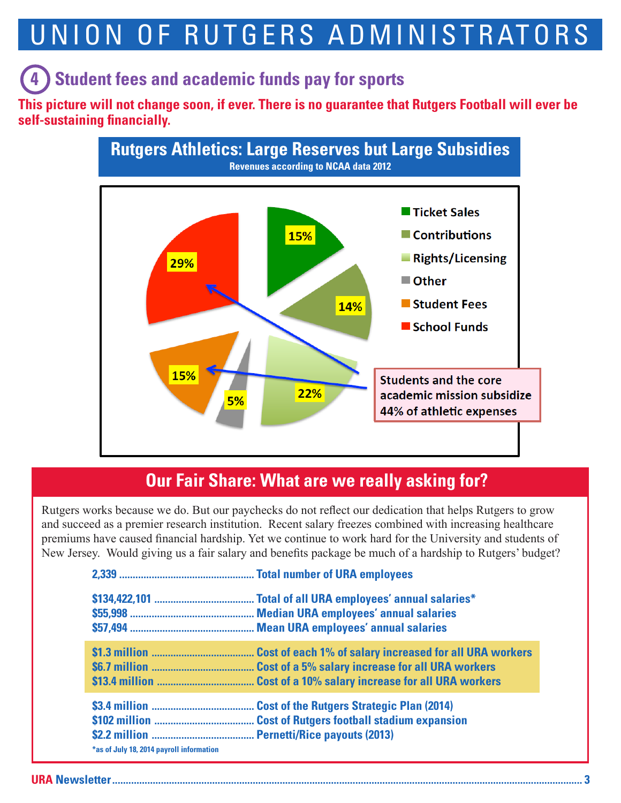# UNION OF RUTGERS ADMINISTRATORS

## **(4) Student fees and academic funds pay for sports**

**This picture will not change soon, if ever. There is no guarantee that Rutgers Football will ever be self-sustaining financially.**



### **Our Fair Share: What are we really asking for?**

Rutgers works because we do. But our paychecks do not reflect our dedication that helps Rutgers to grow and succeed as a premier research institution. Recent salary freezes combined with increasing healthcare premiums have caused financial hardship. Yet we continue to work hard for the University and students of New Jersey. Would giving us a fair salary and benefits package be much of a hardship to Rutgers' budget?

| *as of July 18, 2014 payroll information | <b>Cost of the Rutgers Strategic Plan (2014)</b><br><b>Cost of Rutgers football stadium expansion</b> |
|------------------------------------------|-------------------------------------------------------------------------------------------------------|

**URA Newsletter.............................................................................................................................................................................. 3**